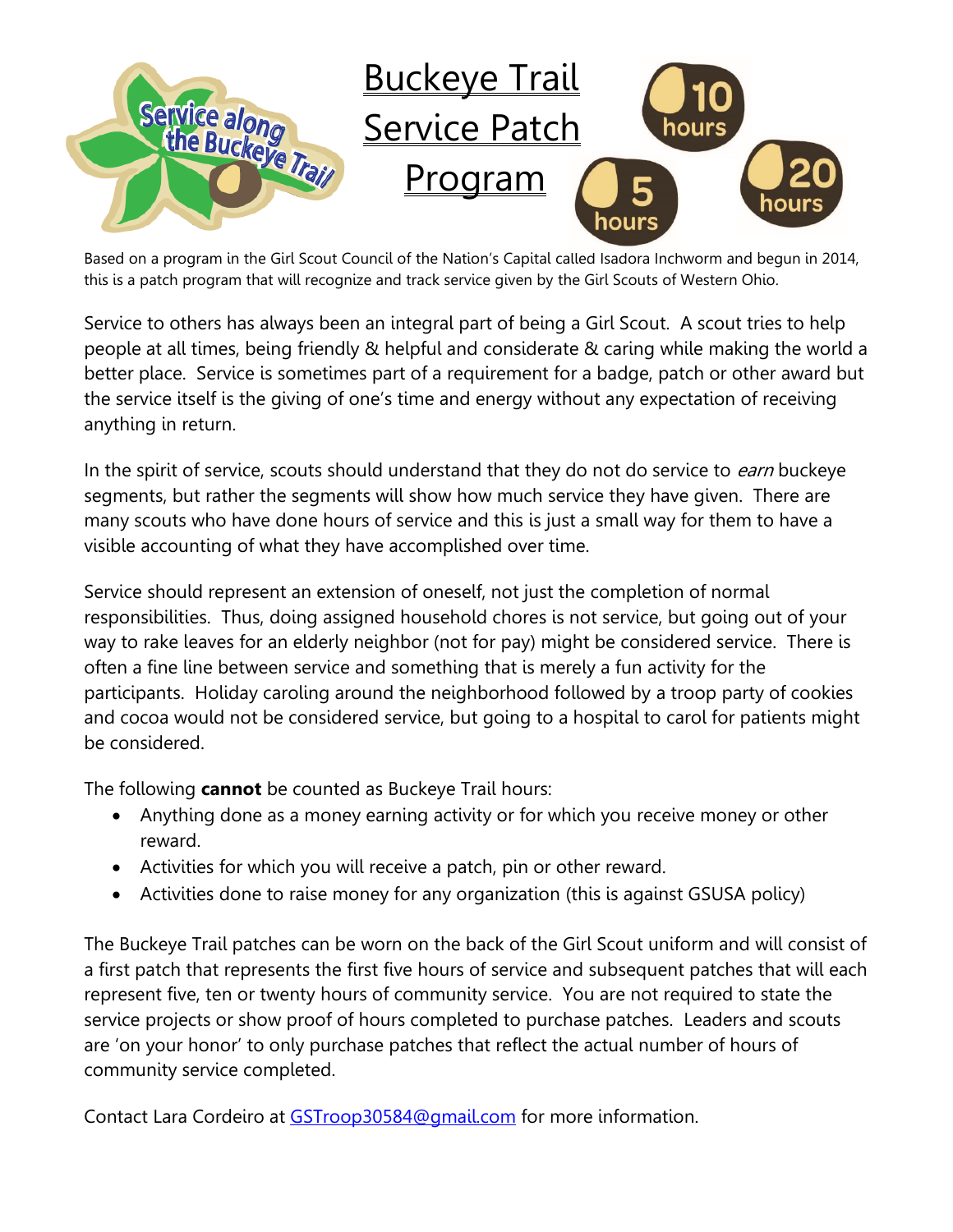

Based on a program in the Girl Scout Council of the Nation's Capital called Isadora Inchworm and begun in 2014, this is a patch program that will recognize and track service given by the Girl Scouts of Western Ohio.

Service to others has always been an integral part of being a Girl Scout. A scout tries to help people at all times, being friendly & helpful and considerate & caring while making the world a better place. Service is sometimes part of a requirement for a badge, patch or other award but the service itself is the giving of one's time and energy without any expectation of receiving anything in return.

In the spirit of service, scouts should understand that they do not do service to earn buckeye segments, but rather the segments will show how much service they have given. There are many scouts who have done hours of service and this is just a small way for them to have a visible accounting of what they have accomplished over time.

Service should represent an extension of oneself, not just the completion of normal responsibilities. Thus, doing assigned household chores is not service, but going out of your way to rake leaves for an elderly neighbor (not for pay) might be considered service. There is often a fine line between service and something that is merely a fun activity for the participants. Holiday caroling around the neighborhood followed by a troop party of cookies and cocoa would not be considered service, but going to a hospital to carol for patients might be considered.

The following **cannot** be counted as Buckeye Trail hours:

- Anything done as a money earning activity or for which you receive money or other reward.
- Activities for which you will receive a patch, pin or other reward.
- Activities done to raise money for any organization (this is against GSUSA policy)

The Buckeye Trail patches can be worn on the back of the Girl Scout uniform and will consist of a first patch that represents the first five hours of service and subsequent patches that will each represent five, ten or twenty hours of community service. You are not required to state the service projects or show proof of hours completed to purchase patches. Leaders and scouts are 'on your honor' to only purchase patches that reflect the actual number of hours of community service completed.

Contact Lara Cordeiro at [GSTroop30584@gmail.com](mailto:GSTroop30584@gmail.com) for more information.